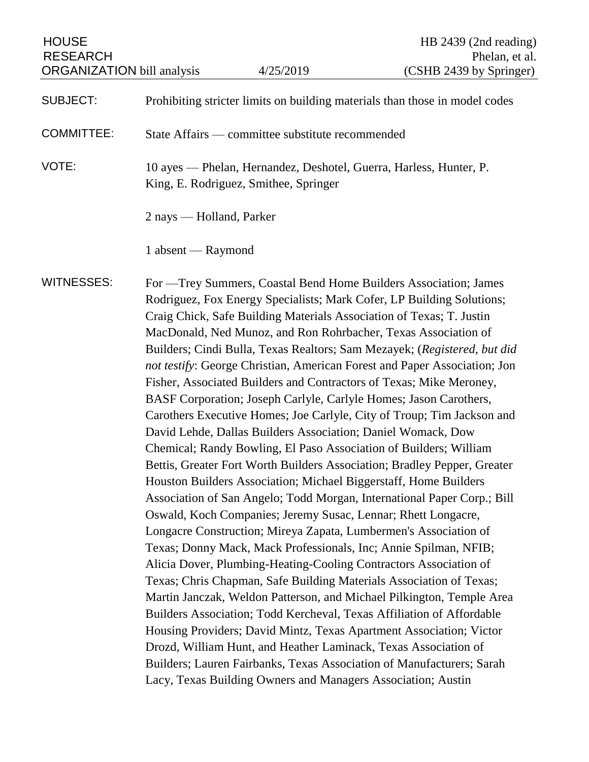HOUSE HOUSE HE 2439 (2nd reading) RESEARCH Phelan, et al. ORGANIZATION bill analysis 4/25/2019 (CSHB 2439 by Springer) SUBJECT: Prohibiting stricter limits on building materials than those in model codes COMMITTEE: State Affairs — committee substitute recommended VOTE: 10 ayes — Phelan, Hernandez, Deshotel, Guerra, Harless, Hunter, P. King, E. Rodriguez, Smithee, Springer 2 nays — Holland, Parker 1 absent — Raymond WITNESSES: For —Trey Summers, Coastal Bend Home Builders Association; James Rodriguez, Fox Energy Specialists; Mark Cofer, LP Building Solutions; Craig Chick, Safe Building Materials Association of Texas; T. Justin MacDonald, Ned Munoz, and Ron Rohrbacher, Texas Association of Builders; Cindi Bulla, Texas Realtors; Sam Mezayek; (*Registered, but did not testify*: George Christian, American Forest and Paper Association; Jon Fisher, Associated Builders and Contractors of Texas; Mike Meroney, BASF Corporation; Joseph Carlyle, Carlyle Homes; Jason Carothers, Carothers Executive Homes; Joe Carlyle, City of Troup; Tim Jackson and David Lehde, Dallas Builders Association; Daniel Womack, Dow Chemical; Randy Bowling, El Paso Association of Builders; William Bettis, Greater Fort Worth Builders Association; Bradley Pepper, Greater Houston Builders Association; Michael Biggerstaff, Home Builders Association of San Angelo; Todd Morgan, International Paper Corp.; Bill Oswald, Koch Companies; Jeremy Susac, Lennar; Rhett Longacre, Longacre Construction; Mireya Zapata, Lumbermen's Association of Texas; Donny Mack, Mack Professionals, Inc; Annie Spilman, NFIB; Alicia Dover, Plumbing-Heating-Cooling Contractors Association of Texas; Chris Chapman, Safe Building Materials Association of Texas; Martin Janczak, Weldon Patterson, and Michael Pilkington, Temple Area Builders Association; Todd Kercheval, Texas Affiliation of Affordable Housing Providers; David Mintz, Texas Apartment Association; Victor Drozd, William Hunt, and Heather Laminack, Texas Association of Builders; Lauren Fairbanks, Texas Association of Manufacturers; Sarah Lacy, Texas Building Owners and Managers Association; Austin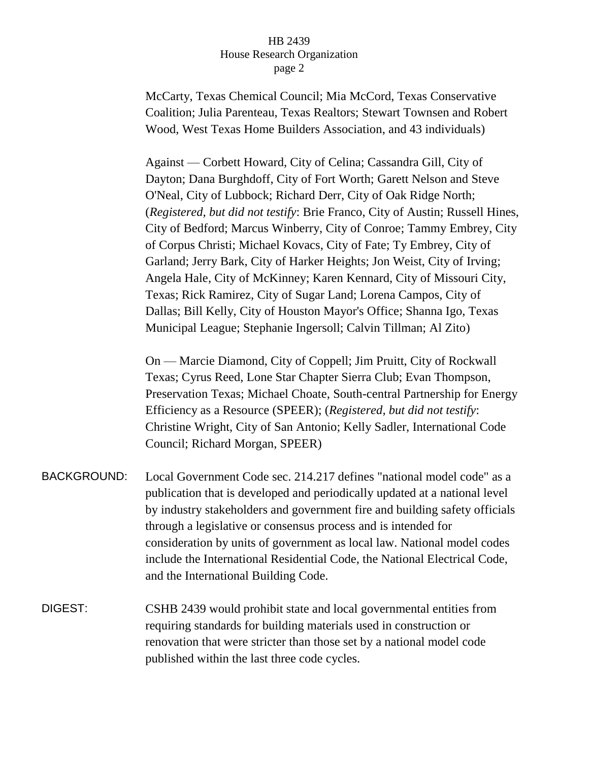McCarty, Texas Chemical Council; Mia McCord, Texas Conservative Coalition; Julia Parenteau, Texas Realtors; Stewart Townsen and Robert Wood, West Texas Home Builders Association, and 43 individuals)

Against — Corbett Howard, City of Celina; Cassandra Gill, City of Dayton; Dana Burghdoff, City of Fort Worth; Garett Nelson and Steve O'Neal, City of Lubbock; Richard Derr, City of Oak Ridge North; (*Registered, but did not testify*: Brie Franco, City of Austin; Russell Hines, City of Bedford; Marcus Winberry, City of Conroe; Tammy Embrey, City of Corpus Christi; Michael Kovacs, City of Fate; Ty Embrey, City of Garland; Jerry Bark, City of Harker Heights; Jon Weist, City of Irving; Angela Hale, City of McKinney; Karen Kennard, City of Missouri City, Texas; Rick Ramirez, City of Sugar Land; Lorena Campos, City of Dallas; Bill Kelly, City of Houston Mayor's Office; Shanna Igo, Texas Municipal League; Stephanie Ingersoll; Calvin Tillman; Al Zito)

On — Marcie Diamond, City of Coppell; Jim Pruitt, City of Rockwall Texas; Cyrus Reed, Lone Star Chapter Sierra Club; Evan Thompson, Preservation Texas; Michael Choate, South-central Partnership for Energy Efficiency as a Resource (SPEER); (*Registered, but did not testify*: Christine Wright, City of San Antonio; Kelly Sadler, International Code Council; Richard Morgan, SPEER)

- BACKGROUND: Local Government Code sec. 214.217 defines "national model code" as a publication that is developed and periodically updated at a national level by industry stakeholders and government fire and building safety officials through a legislative or consensus process and is intended for consideration by units of government as local law. National model codes include the International Residential Code, the National Electrical Code, and the International Building Code.
- DIGEST: CSHB 2439 would prohibit state and local governmental entities from requiring standards for building materials used in construction or renovation that were stricter than those set by a national model code published within the last three code cycles.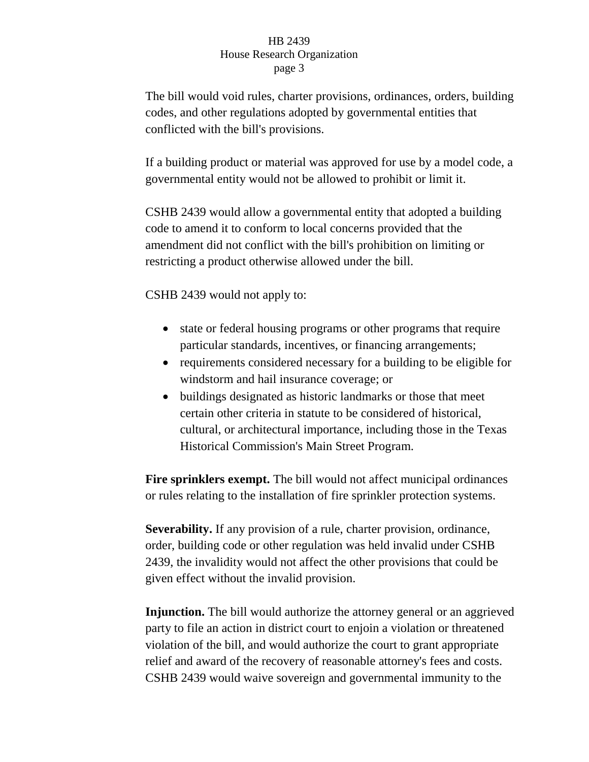The bill would void rules, charter provisions, ordinances, orders, building codes, and other regulations adopted by governmental entities that conflicted with the bill's provisions.

If a building product or material was approved for use by a model code, a governmental entity would not be allowed to prohibit or limit it.

CSHB 2439 would allow a governmental entity that adopted a building code to amend it to conform to local concerns provided that the amendment did not conflict with the bill's prohibition on limiting or restricting a product otherwise allowed under the bill.

CSHB 2439 would not apply to:

- state or federal housing programs or other programs that require particular standards, incentives, or financing arrangements;
- requirements considered necessary for a building to be eligible for windstorm and hail insurance coverage; or
- buildings designated as historic landmarks or those that meet certain other criteria in statute to be considered of historical, cultural, or architectural importance, including those in the Texas Historical Commission's Main Street Program.

**Fire sprinklers exempt.** The bill would not affect municipal ordinances or rules relating to the installation of fire sprinkler protection systems.

**Severability.** If any provision of a rule, charter provision, ordinance, order, building code or other regulation was held invalid under CSHB 2439, the invalidity would not affect the other provisions that could be given effect without the invalid provision.

**Injunction.** The bill would authorize the attorney general or an aggrieved party to file an action in district court to enjoin a violation or threatened violation of the bill, and would authorize the court to grant appropriate relief and award of the recovery of reasonable attorney's fees and costs. CSHB 2439 would waive sovereign and governmental immunity to the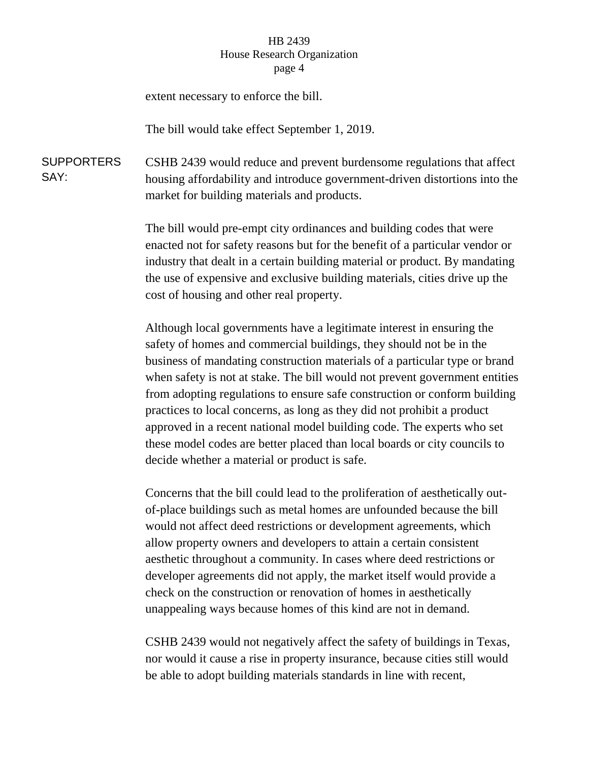extent necessary to enforce the bill.

The bill would take effect September 1, 2019.

**SUPPORTERS** SAY: CSHB 2439 would reduce and prevent burdensome regulations that affect housing affordability and introduce government-driven distortions into the market for building materials and products.

> The bill would pre-empt city ordinances and building codes that were enacted not for safety reasons but for the benefit of a particular vendor or industry that dealt in a certain building material or product. By mandating the use of expensive and exclusive building materials, cities drive up the cost of housing and other real property.

> Although local governments have a legitimate interest in ensuring the safety of homes and commercial buildings, they should not be in the business of mandating construction materials of a particular type or brand when safety is not at stake. The bill would not prevent government entities from adopting regulations to ensure safe construction or conform building practices to local concerns, as long as they did not prohibit a product approved in a recent national model building code. The experts who set these model codes are better placed than local boards or city councils to decide whether a material or product is safe.

Concerns that the bill could lead to the proliferation of aesthetically outof-place buildings such as metal homes are unfounded because the bill would not affect deed restrictions or development agreements, which allow property owners and developers to attain a certain consistent aesthetic throughout a community. In cases where deed restrictions or developer agreements did not apply, the market itself would provide a check on the construction or renovation of homes in aesthetically unappealing ways because homes of this kind are not in demand.

CSHB 2439 would not negatively affect the safety of buildings in Texas, nor would it cause a rise in property insurance, because cities still would be able to adopt building materials standards in line with recent,